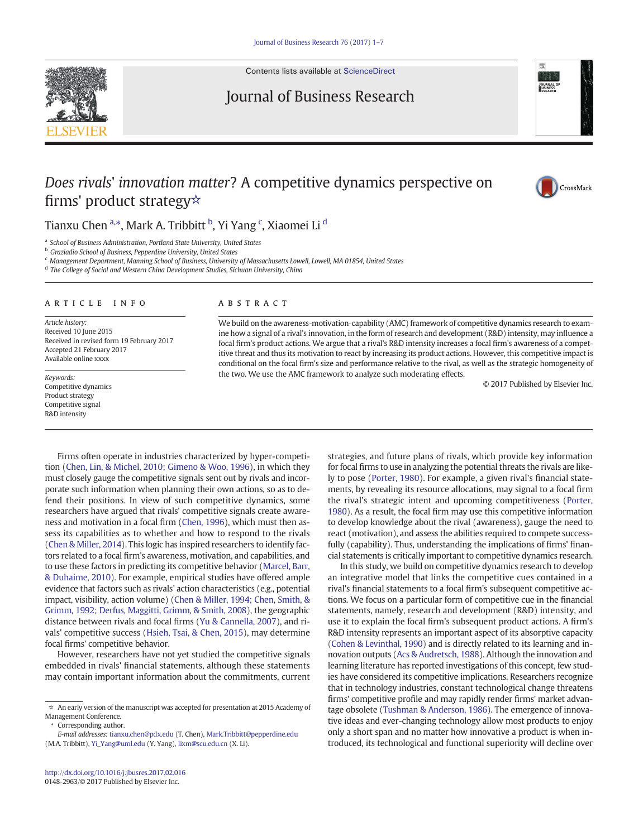

Contents lists available at [ScienceDirect](http://www.sciencedirect.com/science/journal/01482963)

## Journal of Business Research



# Does rivals' innovation matter? A competitive dynamics perspective on firms' product strategy☆



## Tianxu Chen <sup>a,</sup>\*, Mark A. Tribbitt <sup>b</sup>, Yi Yang <sup>c</sup>, Xiaomei Li <sup>d</sup>

<sup>a</sup> School of Business Administration, Portland State University, United States

**b** Graziadio School of Business, Pepperdine University, United States

<sup>c</sup> Management Department, Manning School of Business, University of Massachusetts Lowell, Lowell, MA 01854, United States

<sup>d</sup> The College of Social and Western China Development Studies, Sichuan University, China

#### article info abstract

Article history: Received 10 June 2015 Received in revised form 19 February 2017 Accepted 21 February 2017 Available online xxxx

Competitive dynamics Product strategy Competitive signal R&D intensity

We build on the awareness-motivation-capability (AMC) framework of competitive dynamics research to examine how a signal of a rival's innovation, in the form of research and development (R&D) intensity, may influence a focal firm's product actions. We argue that a rival's R&D intensity increases a focal firm's awareness of a competitive threat and thus its motivation to react by increasing its product actions. However, this competitive impact is conditional on the focal firm's size and performance relative to the rival, as well as the strategic homogeneity of the two. We use the AMC framework to analyze such moderating effects. Keywords:<br>Competitive dynamics<br>Competitive dynamics

Firms often operate in industries characterized by hyper-competition ([Chen, Lin, & Michel, 2010; Gimeno & Woo, 1996](#page-6-0)), in which they must closely gauge the competitive signals sent out by rivals and incorporate such information when planning their own actions, so as to defend their positions. In view of such competitive dynamics, some researchers have argued that rivals' competitive signals create awareness and motivation in a focal firm [\(Chen, 1996](#page-6-0)), which must then assess its capabilities as to whether and how to respond to the rivals [\(Chen & Miller, 2014\)](#page-6-0). This logic has inspired researchers to identify factors related to a focal firm's awareness, motivation, and capabilities, and to use these factors in predicting its competitive behavior [\(Marcel, Barr,](#page-6-0) [& Duhaime, 2010\)](#page-6-0). For example, empirical studies have offered ample evidence that factors such as rivals' action characteristics (e.g., potential impact, visibility, action volume) [\(Chen & Miller, 1994; Chen, Smith, &](#page-6-0) [Grimm, 1992; Derfus, Maggitti, Grimm, & Smith, 2008\)](#page-6-0), the geographic distance between rivals and focal firms [\(Yu & Cannella, 2007\)](#page-6-0), and rivals' competitive success ([Hsieh, Tsai, & Chen, 2015](#page-6-0)), may determine focal firms' competitive behavior.

However, researchers have not yet studied the competitive signals embedded in rivals' financial statements, although these statements may contain important information about the commitments, current

Corresponding author.

strategies, and future plans of rivals, which provide key information for focal firms to use in analyzing the potential threats the rivals are likely to pose [\(Porter, 1980](#page-6-0)). For example, a given rival's financial statements, by revealing its resource allocations, may signal to a focal firm the rival's strategic intent and upcoming competitiveness ([Porter,](#page-6-0) [1980](#page-6-0)). As a result, the focal firm may use this competitive information to develop knowledge about the rival (awareness), gauge the need to react (motivation), and assess the abilities required to compete successfully (capability). Thus, understanding the implications of firms' financial statements is critically important to competitive dynamics research.

In this study, we build on competitive dynamics research to develop an integrative model that links the competitive cues contained in a rival's financial statements to a focal firm's subsequent competitive actions. We focus on a particular form of competitive cue in the financial statements, namely, research and development (R&D) intensity, and use it to explain the focal firm's subsequent product actions. A firm's R&D intensity represents an important aspect of its absorptive capacity [\(Cohen & Levinthal, 1990](#page-6-0)) and is directly related to its learning and innovation outputs ([Acs & Audretsch, 1988\)](#page-6-0). Although the innovation and learning literature has reported investigations of this concept, few studies have considered its competitive implications. Researchers recognize that in technology industries, constant technological change threatens firms' competitive profile and may rapidly render firms' market advantage obsolete [\(Tushman & Anderson, 1986](#page-6-0)). The emergence of innovative ideas and ever-changing technology allow most products to enjoy only a short span and no matter how innovative a product is when introduced, its technological and functional superiority will decline over

<sup>☆</sup> An early version of the manuscript was accepted for presentation at 2015 Academy of Management Conference.

E-mail addresses: tianxu.chen@pdx.edu (T. Chen), Mark.Tribbitt@pepperdine.edu (M.A. Tribbitt), [Yi\\_Yang@uml.edu](mailto:Yi_Yang@uml.edu) (Y. Yang), [lixm@scu.edu.cn](mailto:lixm@scu.edu.cn) (X. Li).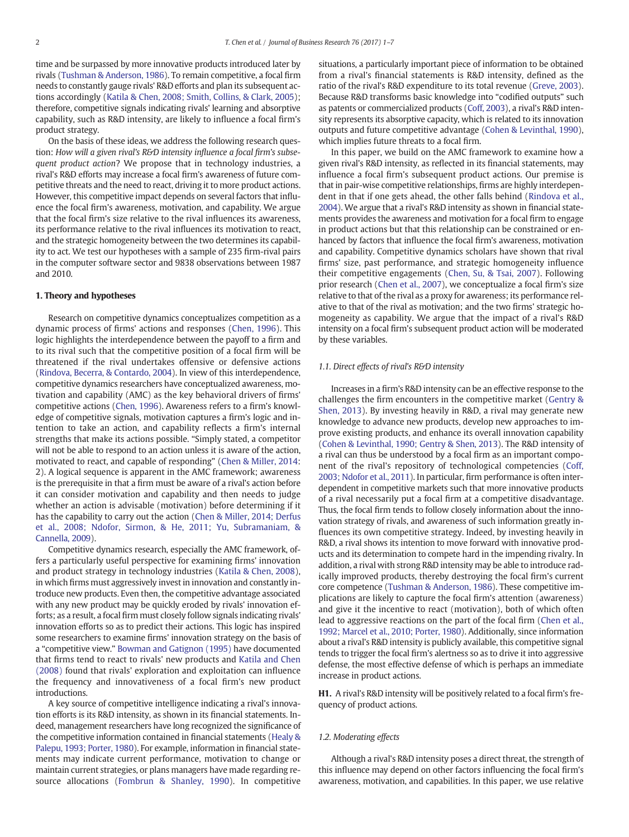time and be surpassed by more innovative products introduced later by rivals [\(Tushman & Anderson, 1986](#page-6-0)). To remain competitive, a focal firm needs to constantly gauge rivals' R&D efforts and plan its subsequent actions accordingly [\(Katila & Chen, 2008; Smith, Collins, & Clark, 2005\)](#page-6-0); therefore, competitive signals indicating rivals' learning and absorptive capability, such as R&D intensity, are likely to influence a focal firm's product strategy.

On the basis of these ideas, we address the following research question: How will a given rival's R&D intensity influence a focal firm's subsequent product action? We propose that in technology industries, a rival's R&D efforts may increase a focal firm's awareness of future competitive threats and the need to react, driving it to more product actions. However, this competitive impact depends on several factors that influence the focal firm's awareness, motivation, and capability. We argue that the focal firm's size relative to the rival influences its awareness, its performance relative to the rival influences its motivation to react, and the strategic homogeneity between the two determines its capability to act. We test our hypotheses with a sample of 235 firm-rival pairs in the computer software sector and 9838 observations between 1987 and 2010.

#### 1. Theory and hypotheses

Research on competitive dynamics conceptualizes competition as a dynamic process of firms' actions and responses ([Chen, 1996\)](#page-6-0). This logic highlights the interdependence between the payoff to a firm and to its rival such that the competitive position of a focal firm will be threatened if the rival undertakes offensive or defensive actions [\(Rindova, Becerra, & Contardo, 2004\)](#page-6-0). In view of this interdependence, competitive dynamics researchers have conceptualized awareness, motivation and capability (AMC) as the key behavioral drivers of firms' competitive actions ([Chen, 1996\)](#page-6-0). Awareness refers to a firm's knowledge of competitive signals, motivation captures a firm's logic and intention to take an action, and capability reflects a firm's internal strengths that make its actions possible. "Simply stated, a competitor will not be able to respond to an action unless it is aware of the action, motivated to react, and capable of responding" ([Chen & Miller, 2014](#page-6-0): 2). A logical sequence is apparent in the AMC framework; awareness is the prerequisite in that a firm must be aware of a rival's action before it can consider motivation and capability and then needs to judge whether an action is advisable (motivation) before determining if it has the capability to carry out the action ([Chen & Miller, 2014; Derfus](#page-6-0) [et al., 2008; Ndofor, Sirmon, & He, 2011; Yu, Subramaniam, &](#page-6-0) [Cannella, 2009\)](#page-6-0).

Competitive dynamics research, especially the AMC framework, offers a particularly useful perspective for examining firms' innovation and product strategy in technology industries [\(Katila & Chen, 2008](#page-6-0)), in which firms must aggressively invest in innovation and constantly introduce new products. Even then, the competitive advantage associated with any new product may be quickly eroded by rivals' innovation efforts; as a result, a focal firm must closely follow signals indicating rivals' innovation efforts so as to predict their actions. This logic has inspired some researchers to examine firms' innovation strategy on the basis of a "competitive view." [Bowman and Gatignon \(1995\)](#page-6-0) have documented that firms tend to react to rivals' new products and [Katila and Chen](#page-6-0) [\(2008\)](#page-6-0) found that rivals' exploration and exploitation can influence the frequency and innovativeness of a focal firm's new product introductions.

A key source of competitive intelligence indicating a rival's innovation efforts is its R&D intensity, as shown in its financial statements. Indeed, management researchers have long recognized the significance of the competitive information contained in financial statements [\(Healy &](#page-6-0) [Palepu, 1993; Porter, 1980](#page-6-0)). For example, information in financial statements may indicate current performance, motivation to change or maintain current strategies, or plans managers have made regarding resource allocations [\(Fombrun & Shanley, 1990](#page-6-0)). In competitive

situations, a particularly important piece of information to be obtained from a rival's financial statements is R&D intensity, defined as the ratio of the rival's R&D expenditure to its total revenue [\(Greve, 2003](#page-6-0)). Because R&D transforms basic knowledge into "codified outputs" such as patents or commercialized products [\(Coff, 2003](#page-6-0)), a rival's R&D intensity represents its absorptive capacity, which is related to its innovation outputs and future competitive advantage [\(Cohen & Levinthal, 1990](#page-6-0)), which implies future threats to a focal firm.

In this paper, we build on the AMC framework to examine how a given rival's R&D intensity, as reflected in its financial statements, may influence a focal firm's subsequent product actions. Our premise is that in pair-wise competitive relationships, firms are highly interdependent in that if one gets ahead, the other falls behind ([Rindova et al.,](#page-6-0) [2004\)](#page-6-0). We argue that a rival's R&D intensity as shown in financial statements provides the awareness and motivation for a focal firm to engage in product actions but that this relationship can be constrained or enhanced by factors that influence the focal firm's awareness, motivation and capability. Competitive dynamics scholars have shown that rival firms' size, past performance, and strategic homogeneity influence their competitive engagements ([Chen, Su, & Tsai, 2007](#page-6-0)). Following prior research [\(Chen et al., 2007](#page-6-0)), we conceptualize a focal firm's size relative to that of the rival as a proxy for awareness; its performance relative to that of the rival as motivation; and the two firms' strategic homogeneity as capability. We argue that the impact of a rival's R&D intensity on a focal firm's subsequent product action will be moderated by these variables.

#### 1.1. Direct effects of rival's R&D intensity

Increases in a firm's R&D intensity can be an effective response to the challenges the firm encounters in the competitive market ([Gentry &](#page-6-0) [Shen, 2013\)](#page-6-0). By investing heavily in R&D, a rival may generate new knowledge to advance new products, develop new approaches to improve existing products, and enhance its overall innovation capability [\(Cohen & Levinthal, 1990; Gentry & Shen, 2013](#page-6-0)). The R&D intensity of a rival can thus be understood by a focal firm as an important component of the rival's repository of technological competencies [\(Coff,](#page-6-0) [2003; Ndofor et al., 2011](#page-6-0)). In particular, firm performance is often interdependent in competitive markets such that more innovative products of a rival necessarily put a focal firm at a competitive disadvantage. Thus, the focal firm tends to follow closely information about the innovation strategy of rivals, and awareness of such information greatly influences its own competitive strategy. Indeed, by investing heavily in R&D, a rival shows its intention to move forward with innovative products and its determination to compete hard in the impending rivalry. In addition, a rival with strong R&D intensity may be able to introduce radically improved products, thereby destroying the focal firm's current core competence ([Tushman & Anderson, 1986\)](#page-6-0). These competitive implications are likely to capture the focal firm's attention (awareness) and give it the incentive to react (motivation), both of which often lead to aggressive reactions on the part of the focal firm [\(Chen et al.,](#page-6-0) [1992; Marcel et al., 2010; Porter, 1980\)](#page-6-0). Additionally, since information about a rival's R&D intensity is publicly available, this competitive signal tends to trigger the focal firm's alertness so as to drive it into aggressive defense, the most effective defense of which is perhaps an immediate increase in product actions.

H1. A rival's R&D intensity will be positively related to a focal firm's frequency of product actions.

#### 1.2. Moderating effects

Although a rival's R&D intensity poses a direct threat, the strength of this influence may depend on other factors influencing the focal firm's awareness, motivation, and capabilities. In this paper, we use relative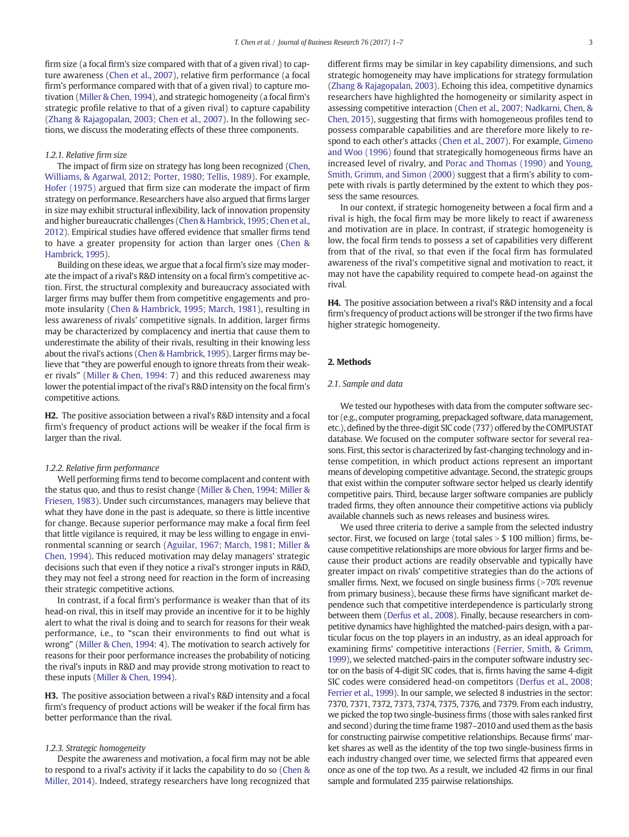<span id="page-2-0"></span>firm size (a focal firm's size compared with that of a given rival) to capture awareness [\(Chen et al., 2007\)](#page-6-0), relative firm performance (a focal firm's performance compared with that of a given rival) to capture motivation ([Miller & Chen, 1994\)](#page-6-0), and strategic homogeneity (a focal firm's strategic profile relative to that of a given rival) to capture capability [\(Zhang & Rajagopalan, 2003; Chen et al., 2007\)](#page-6-0). In the following sections, we discuss the moderating effects of these three components.

#### 1.2.1. Relative firm size

The impact of firm size on strategy has long been recognized ([Chen,](#page-6-0) [Williams, & Agarwal, 2012; Porter, 1980; Tellis, 1989](#page-6-0)). For example, [Hofer \(1975\)](#page-6-0) argued that firm size can moderate the impact of firm strategy on performance. Researchers have also argued that firms larger in size may exhibit structural inflexibility, lack of innovation propensity and higher bureaucratic challenges ([Chen & Hambrick, 1995; Chen et al.,](#page-6-0) [2012](#page-6-0)). Empirical studies have offered evidence that smaller firms tend to have a greater propensity for action than larger ones ([Chen &](#page-6-0) [Hambrick, 1995\)](#page-6-0).

Building on these ideas, we argue that a focal firm's size may moderate the impact of a rival's R&D intensity on a focal firm's competitive action. First, the structural complexity and bureaucracy associated with larger firms may buffer them from competitive engagements and promote insularity ([Chen & Hambrick, 1995; March, 1981\)](#page-6-0), resulting in less awareness of rivals' competitive signals. In addition, larger firms may be characterized by complacency and inertia that cause them to underestimate the ability of their rivals, resulting in their knowing less about the rival's actions ([Chen & Hambrick, 1995\)](#page-6-0). Larger firms may believe that "they are powerful enough to ignore threats from their weaker rivals" [\(Miller & Chen, 1994](#page-6-0): 7) and this reduced awareness may lower the potential impact of the rival's R&D intensity on the focal firm's competitive actions.

H2. The positive association between a rival's R&D intensity and a focal firm's frequency of product actions will be weaker if the focal firm is larger than the rival.

#### 1.2.2. Relative firm performance

Well performing firms tend to become complacent and content with the status quo, and thus to resist change [\(Miller & Chen, 1994; Miller &](#page-6-0) [Friesen, 1983](#page-6-0)). Under such circumstances, managers may believe that what they have done in the past is adequate, so there is little incentive for change. Because superior performance may make a focal firm feel that little vigilance is required, it may be less willing to engage in environmental scanning or search [\(Aguilar, 1967; March, 1981; Miller &](#page-6-0) [Chen, 1994\)](#page-6-0). This reduced motivation may delay managers' strategic decisions such that even if they notice a rival's stronger inputs in R&D, they may not feel a strong need for reaction in the form of increasing their strategic competitive actions.

In contrast, if a focal firm's performance is weaker than that of its head-on rival, this in itself may provide an incentive for it to be highly alert to what the rival is doing and to search for reasons for their weak performance, i.e., to "scan their environments to find out what is wrong" ([Miller & Chen, 1994:](#page-6-0) 4). The motivation to search actively for reasons for their poor performance increases the probability of noticing the rival's inputs in R&D and may provide strong motivation to react to these inputs ([Miller & Chen, 1994](#page-6-0)).

H3. The positive association between a rival's R&D intensity and a focal firm's frequency of product actions will be weaker if the focal firm has better performance than the rival.

#### 1.2.3. Strategic homogeneity

Despite the awareness and motivation, a focal firm may not be able to respond to a rival's activity if it lacks the capability to do so ([Chen &](#page-6-0) [Miller, 2014\)](#page-6-0). Indeed, strategy researchers have long recognized that different firms may be similar in key capability dimensions, and such strategic homogeneity may have implications for strategy formulation [\(Zhang & Rajagopalan, 2003\)](#page-6-0). Echoing this idea, competitive dynamics researchers have highlighted the homogeneity or similarity aspect in assessing competitive interaction [\(Chen et al., 2007; Nadkarni, Chen, &](#page-6-0) [Chen, 2015\)](#page-6-0), suggesting that firms with homogeneous profiles tend to possess comparable capabilities and are therefore more likely to respond to each other's attacks [\(Chen et al., 2007](#page-6-0)). For example, [Gimeno](#page-6-0) [and Woo \(1996\)](#page-6-0) found that strategically homogeneous firms have an increased level of rivalry, and [Porac and Thomas \(1990\)](#page-6-0) and [Young,](#page-6-0) [Smith, Grimm, and Simon \(2000\)](#page-6-0) suggest that a firm's ability to compete with rivals is partly determined by the extent to which they possess the same resources.

In our context, if strategic homogeneity between a focal firm and a rival is high, the focal firm may be more likely to react if awareness and motivation are in place. In contrast, if strategic homogeneity is low, the focal firm tends to possess a set of capabilities very different from that of the rival, so that even if the focal firm has formulated awareness of the rival's competitive signal and motivation to react, it may not have the capability required to compete head-on against the rival.

H4. The positive association between a rival's R&D intensity and a focal firm's frequency of product actions will be stronger if the two firms have higher strategic homogeneity.

#### 2. Methods

#### 2.1. Sample and data

We tested our hypotheses with data from the computer software sector (e.g., computer programing, prepackaged software, data management, etc.), defined by the three-digit SIC code (737) offered by the COMPUSTAT database. We focused on the computer software sector for several reasons. First, this sector is characterized by fast-changing technology and intense competition, in which product actions represent an important means of developing competitive advantage. Second, the strategic groups that exist within the computer software sector helped us clearly identify competitive pairs. Third, because larger software companies are publicly traded firms, they often announce their competitive actions via publicly available channels such as news releases and business wires.

We used three criteria to derive a sample from the selected industry sector. First, we focused on large (total sales  $> $ 100$  million) firms, because competitive relationships are more obvious for larger firms and because their product actions are readily observable and typically have greater impact on rivals' competitive strategies than do the actions of smaller firms. Next, we focused on single business firms (>70% revenue from primary business), because these firms have significant market dependence such that competitive interdependence is particularly strong between them ([Derfus et al., 2008](#page-6-0)). Finally, because researchers in competitive dynamics have highlighted the matched-pairs design, with a particular focus on the top players in an industry, as an ideal approach for examining firms' competitive interactions ([Ferrier, Smith, & Grimm,](#page-6-0) [1999\)](#page-6-0), we selected matched-pairs in the computer software industry sector on the basis of 4-digit SIC codes, that is, firms having the same 4-digit SIC codes were considered head-on competitors [\(Derfus et al., 2008;](#page-6-0) [Ferrier et al., 1999\)](#page-6-0). In our sample, we selected 8 industries in the sector: 7370, 7371, 7372, 7373, 7374, 7375, 7376, and 7379. From each industry, we picked the top two single-business firms (those with sales ranked first and second) during the time frame 1987–2010 and used them as the basis for constructing pairwise competitive relationships. Because firms' market shares as well as the identity of the top two single-business firms in each industry changed over time, we selected firms that appeared even once as one of the top two. As a result, we included 42 firms in our final sample and formulated 235 pairwise relationships.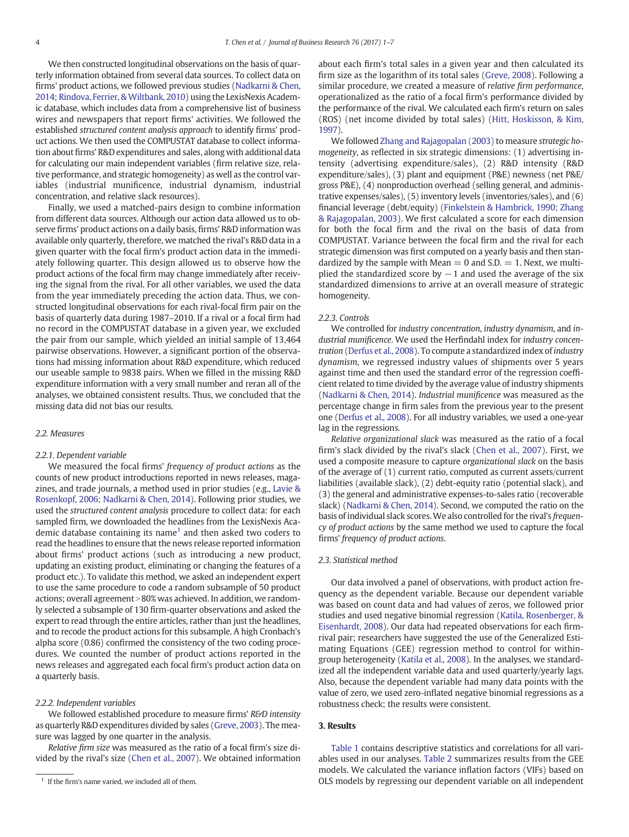We then constructed longitudinal observations on the basis of quarterly information obtained from several data sources. To collect data on firms' product actions, we followed previous studies [\(Nadkarni & Chen,](#page-6-0) [2014; Rindova, Ferrier, & Wiltbank, 2010](#page-6-0)) using the LexisNexis Academic database, which includes data from a comprehensive list of business wires and newspapers that report firms' activities. We followed the established structured content analysis approach to identify firms' product actions. We then used the COMPUSTAT database to collect information about firms' R&D expenditures and sales, along with additional data for calculating our main independent variables (firm relative size, relative performance, and strategic homogeneity) as well as the control variables (industrial munificence, industrial dynamism, industrial concentration, and relative slack resources).

Finally, we used a matched-pairs design to combine information from different data sources. Although our action data allowed us to observe firms' product actions on a daily basis, firms' R&D information was available only quarterly, therefore, we matched the rival's R&D data in a given quarter with the focal firm's product action data in the immediately following quarter. This design allowed us to observe how the product actions of the focal firm may change immediately after receiving the signal from the rival. For all other variables, we used the data from the year immediately preceding the action data. Thus, we constructed longitudinal observations for each rival-focal firm pair on the basis of quarterly data during 1987–2010. If a rival or a focal firm had no record in the COMPUSTAT database in a given year, we excluded the pair from our sample, which yielded an initial sample of 13,464 pairwise observations. However, a significant portion of the observations had missing information about R&D expenditure, which reduced our useable sample to 9838 pairs. When we filled in the missing R&D expenditure information with a very small number and reran all of the analyses, we obtained consistent results. Thus, we concluded that the missing data did not bias our results.

#### 2.2. Measures

### 2.2.1. Dependent variable

We measured the focal firms' frequency of product actions as the counts of new product introductions reported in news releases, magazines, and trade journals, a method used in prior studies (e.g., [Lavie &](#page-6-0) [Rosenkopf, 2006; Nadkarni & Chen, 2014](#page-6-0)). Following prior studies, we used the structured content analysis procedure to collect data: for each sampled firm, we downloaded the headlines from the LexisNexis Academic database containing its name<sup>1</sup> and then asked two coders to read the headlines to ensure that the news release reported information about firms' product actions (such as introducing a new product, updating an existing product, eliminating or changing the features of a product etc.). To validate this method, we asked an independent expert to use the same procedure to code a random subsample of 50 product actions; overall agreement > 80% was achieved. In addition, we randomly selected a subsample of 130 firm-quarter observations and asked the expert to read through the entire articles, rather than just the headlines, and to recode the product actions for this subsample. A high Cronbach's alpha score (0.86) confirmed the consistency of the two coding procedures. We counted the number of product actions reported in the news releases and aggregated each focal firm's product action data on a quarterly basis.

#### 2.2.2. Independent variables

We followed established procedure to measure firms' R&D intensity as quarterly R&D expenditures divided by sales [\(Greve, 2003\)](#page-6-0). The measure was lagged by one quarter in the analysis.

Relative firm size was measured as the ratio of a focal firm's size divided by the rival's size ([Chen et al., 2007](#page-6-0)). We obtained information about each firm's total sales in a given year and then calculated its firm size as the logarithm of its total sales ([Greve, 2008](#page-6-0)). Following a similar procedure, we created a measure of relative firm performance, operationalized as the ratio of a focal firm's performance divided by the performance of the rival. We calculated each firm's return on sales (ROS) (net income divided by total sales) [\(Hitt, Hoskisson, & Kim,](#page-6-0) [1997\)](#page-6-0).

We followed [Zhang and Rajagopalan \(2003\)](#page-6-0) to measure strategic homogeneity, as reflected in six strategic dimensions: (1) advertising intensity (advertising expenditure/sales), (2) R&D intensity (R&D expenditure/sales), (3) plant and equipment (P&E) newness (net P&E/ gross P&E), (4) nonproduction overhead (selling general, and administrative expenses/sales), (5) inventory levels (inventories/sales), and (6) financial leverage (debt/equity) [\(Finkelstein & Hambrick, 1990; Zhang](#page-6-0) [& Rajagopalan, 2003](#page-6-0)). We first calculated a score for each dimension for both the focal firm and the rival on the basis of data from COMPUSTAT. Variance between the focal firm and the rival for each strategic dimension was first computed on a yearly basis and then standardized by the sample with Mean  $= 0$  and S.D.  $= 1$ . Next, we multiplied the standardized score by  $-1$  and used the average of the six standardized dimensions to arrive at an overall measure of strategic homogeneity.

#### 2.2.3. Controls

We controlled for industry concentration, industry dynamism, and industrial munificence. We used the Herfindahl index for industry concentration [\(Derfus et al., 2008](#page-6-0)). To compute a standardized index of industry dynamism, we regressed industry values of shipments over 5 years against time and then used the standard error of the regression coefficient related to time divided by the average value of industry shipments [\(Nadkarni & Chen, 2014](#page-6-0)). Industrial munificence was measured as the percentage change in firm sales from the previous year to the present one [\(Derfus et al., 2008](#page-6-0)). For all industry variables, we used a one-year lag in the regressions.

Relative organizational slack was measured as the ratio of a focal firm's slack divided by the rival's slack [\(Chen et al., 2007](#page-6-0)). First, we used a composite measure to capture organizational slack on the basis of the average of (1) current ratio, computed as current assets/current liabilities (available slack), (2) debt-equity ratio (potential slack), and (3) the general and administrative expenses-to-sales ratio (recoverable slack) [\(Nadkarni & Chen, 2014](#page-6-0)). Second, we computed the ratio on the basis of individual slack scores. We also controlled for the rival's frequency of product actions by the same method we used to capture the focal firms' frequency of product actions.

#### 2.3. Statistical method

Our data involved a panel of observations, with product action frequency as the dependent variable. Because our dependent variable was based on count data and had values of zeros, we followed prior studies and used negative binomial regression ([Katila, Rosenberger, &](#page-6-0) [Eisenhardt, 2008\)](#page-6-0). Our data had repeated observations for each firmrival pair; researchers have suggested the use of the Generalized Estimating Equations (GEE) regression method to control for withingroup heterogeneity [\(Katila et al., 2008](#page-6-0)). In the analyses, we standardized all the independent variable data and used quarterly/yearly lags. Also, because the dependent variable had many data points with the value of zero, we used zero-inflated negative binomial regressions as a robustness check; the results were consistent.

#### 3. Results

[Table 1](#page-4-0) contains descriptive statistics and correlations for all variables used in our analyses. [Table 2](#page-4-0) summarizes results from the GEE models. We calculated the variance inflation factors (VIFs) based on <sup>1</sup> If the firm's name varied, we included all of them. CLS models by regressing our dependent variable on all independent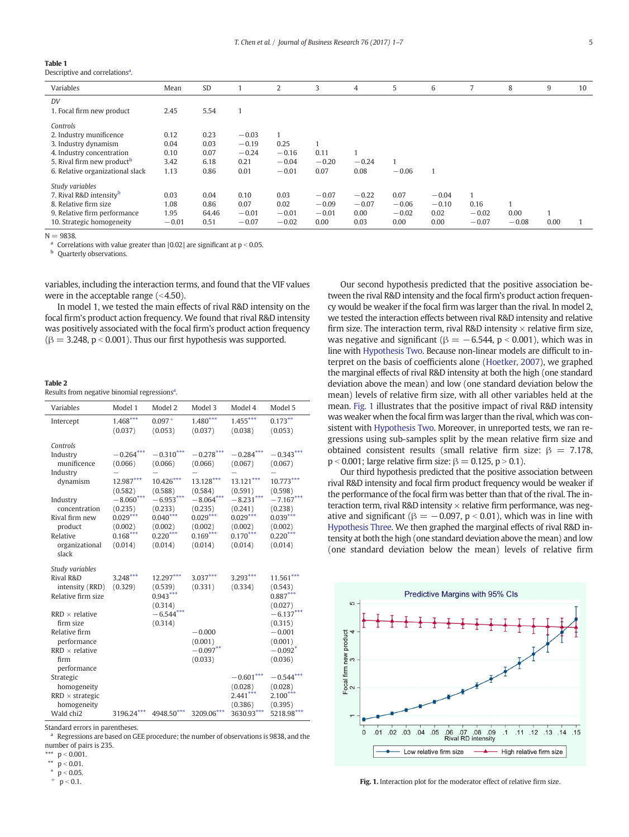#### <span id="page-4-0"></span>Table 1

Descriptive and correlations<sup>a</sup>.

| Variables                              | Mean    | SD    |         | 2       | 3       | 4       | 5       | 6       | 7            | 8       | 9    | 10 |
|----------------------------------------|---------|-------|---------|---------|---------|---------|---------|---------|--------------|---------|------|----|
| DV                                     |         |       |         |         |         |         |         |         |              |         |      |    |
| 1. Focal firm new product              | 2.45    | 5.54  | и       |         |         |         |         |         |              |         |      |    |
| Controls                               |         |       |         |         |         |         |         |         |              |         |      |    |
| 2. Industry munificence                | 0.12    | 0.23  | $-0.03$ |         |         |         |         |         |              |         |      |    |
| 3. Industry dynamism                   | 0.04    | 0.03  | $-0.19$ | 0.25    |         |         |         |         |              |         |      |    |
| 4. Industry concentration              | 0.10    | 0.07  | $-0.24$ | $-0.16$ | 0.11    |         |         |         |              |         |      |    |
| 5. Rival firm new product <sup>b</sup> | 3.42    | 6.18  | 0.21    | $-0.04$ | $-0.20$ | $-0.24$ |         |         |              |         |      |    |
| 6. Relative organizational slack       | 1.13    | 0.86  | 0.01    | $-0.01$ | 0.07    | 0.08    | $-0.06$ |         |              |         |      |    |
| Study variables                        |         |       |         |         |         |         |         |         |              |         |      |    |
| 7. Rival R&D intensity <sup>b</sup>    | 0.03    | 0.04  | 0.10    | 0.03    | $-0.07$ | $-0.22$ | 0.07    | $-0.04$ | $\mathbf{1}$ |         |      |    |
| 8. Relative firm size                  | 1.08    | 0.86  | 0.07    | 0.02    | $-0.09$ | $-0.07$ | $-0.06$ | $-0.10$ | 0.16         | и       |      |    |
| 9. Relative firm performance           | 1.95    | 64.46 | $-0.01$ | $-0.01$ | $-0.01$ | 0.00    | $-0.02$ | 0.02    | $-0.02$      | 0.00    |      |    |
| 10. Strategic homogeneity              | $-0.01$ | 0.51  | $-0.07$ | $-0.02$ | 0.00    | 0.03    | 0.00    | 0.00    | $-0.07$      | $-0.08$ | 0.00 |    |

 $N - 9838$ 

Correlations with value greater than  $|0.02|$  are significant at  $p < 0.05$ .

**b** Quarterly observations.

variables, including the interaction terms, and found that the VIF values were in the acceptable range  $( $4.50$ ).$ 

In model 1, we tested the main effects of rival R&D intensity on the focal firm's product action frequency. We found that rival R&D intensity was positively associated with the focal firm's product action frequency  $(\beta = 3.248, p < 0.001)$ . Thus our first hypothesis was supported.

#### Table 2

Results from negative binomial regressions<sup>a</sup>.

| Variables                                                                                                                                                                    | Model 1                                                                                                                    | Model 2                                                                                                                      | Model 3                                                                                                                    | Model 4                                                                                                                      | Model 5                                                                                                                      |
|------------------------------------------------------------------------------------------------------------------------------------------------------------------------------|----------------------------------------------------------------------------------------------------------------------------|------------------------------------------------------------------------------------------------------------------------------|----------------------------------------------------------------------------------------------------------------------------|------------------------------------------------------------------------------------------------------------------------------|------------------------------------------------------------------------------------------------------------------------------|
| Intercept                                                                                                                                                                    | $1.468***$<br>(0.037)                                                                                                      | $0.097 +$<br>(0.053)                                                                                                         | $1.480***$<br>(0.037)                                                                                                      | $1.455***$<br>(0.038)                                                                                                        | $0.173***$<br>(0.053)                                                                                                        |
| Controls<br>Industry<br>munificence<br>Industry<br>dynamism<br>Industry<br>concentration<br>Rival firm new<br>product<br>Relative<br>organizational<br>slack                 | $-0.264***$<br>(0.066)<br>12.987***<br>(0.582)<br>$-8.060***$<br>(0.235)<br>$0.029***$<br>(0.002)<br>$0.168***$<br>(0.014) | $-0.310***$<br>(0.066)<br>$10.426***$<br>(0.588)<br>$-6.953***$<br>(0.233)<br>$0.040***$<br>(0.002)<br>$0.220***$<br>(0.014) | $-0.278***$<br>(0.066)<br>13.128***<br>(0.584)<br>$-8.064***$<br>(0.235)<br>$0.029***$<br>(0.002)<br>$0.169***$<br>(0.014) | $-0.284***$<br>(0.067)<br>$13.121***$<br>(0.591)<br>$-8.231***$<br>(0.241)<br>$0.029***$<br>(0.002)<br>$0.170***$<br>(0.014) | $-0.343***$<br>(0.067)<br>$10.773***$<br>(0.598)<br>$-7.167***$<br>(0.238)<br>$0.039***$<br>(0.002)<br>$0.220***$<br>(0.014) |
| Study variables<br>Rival R&D<br>intensity (RRD)<br>Relative firm size<br>$RRD \times$ relative<br>firm size<br>Relative firm<br>performance<br>$RRD \times$ relative<br>firm | $3.248***$<br>(0.329)                                                                                                      | 12.297***<br>(0.539)<br>$0.943***$<br>(0.314)<br>$-6.544***$<br>(0.314)                                                      | $3.037***$<br>(0.331)<br>$-0.000$<br>(0.001)<br>$-0.097**$<br>(0.033)                                                      | 3.293***<br>(0.334)                                                                                                          | $11.561***$<br>(0.543)<br>$0.887***$<br>(0.027)<br>$-6.137***$<br>(0.315)<br>$-0.001$<br>(0.001)<br>$-0.092*$<br>(0.036)     |
| performance<br>Strategic<br>homogeneity<br>$RRD \times strategic$<br>homogeneity<br>Wald chi2                                                                                | 3196.24***                                                                                                                 | 4948.50***                                                                                                                   | 3209.06***                                                                                                                 | $-0.601***$<br>(0.028)<br>$2.441***$<br>(0.386)<br>3630.93***                                                                | $-0.544***$<br>(0.028)<br>$2.100***$<br>(0.395)<br>5218.98***                                                                |

Standard errors in parentheses.

a Regressions are based on GEE procedure; the number of observations is 9838, and the number of pairs is 235.

\*\*\*  $p < 0.001$ .

 $p < 0.01$ .

 $p < 0.05$ .<br> $p < 0.1$ .

Our second hypothesis predicted that the positive association between the rival R&D intensity and the focal firm's product action frequency would be weaker if the focal firm was larger than the rival. In model 2, we tested the interaction effects between rival R&D intensity and relative firm size. The interaction term, rival R&D intensity  $\times$  relative firm size, was negative and significant ( $\beta = -6.544$ , p < 0.001), which was in line with [Hypothesis Two](#page-2-0). Because non-linear models are difficult to interpret on the basis of coefficients alone [\(Hoetker, 2007](#page-6-0)), we graphed the marginal effects of rival R&D intensity at both the high (one standard deviation above the mean) and low (one standard deviation below the mean) levels of relative firm size, with all other variables held at the mean. Fig. 1 illustrates that the positive impact of rival R&D intensity was weaker when the focal firm was larger than the rival, which was consistent with [Hypothesis Two.](#page-2-0) Moreover, in unreported tests, we ran regressions using sub-samples split by the mean relative firm size and obtained consistent results (small relative firm size:  $\beta = 7.178$ ,  $p < 0.001$ ; large relative firm size:  $\beta = 0.125$ ,  $p > 0.1$ ).

Our third hypothesis predicted that the positive association between rival R&D intensity and focal firm product frequency would be weaker if the performance of the focal firm was better than that of the rival. The interaction term, rival R&D intensity  $\times$  relative firm performance, was negative and significant ( $\beta = -0.097$ ,  $p < 0.01$ ), which was in line with [Hypothesis Three.](#page-2-0) We then graphed the marginal effects of rival R&D intensity at both the high (one standard deviation above the mean) and low (one standard deviation below the mean) levels of relative firm



Fig. 1. Interaction plot for the moderator effect of relative firm size.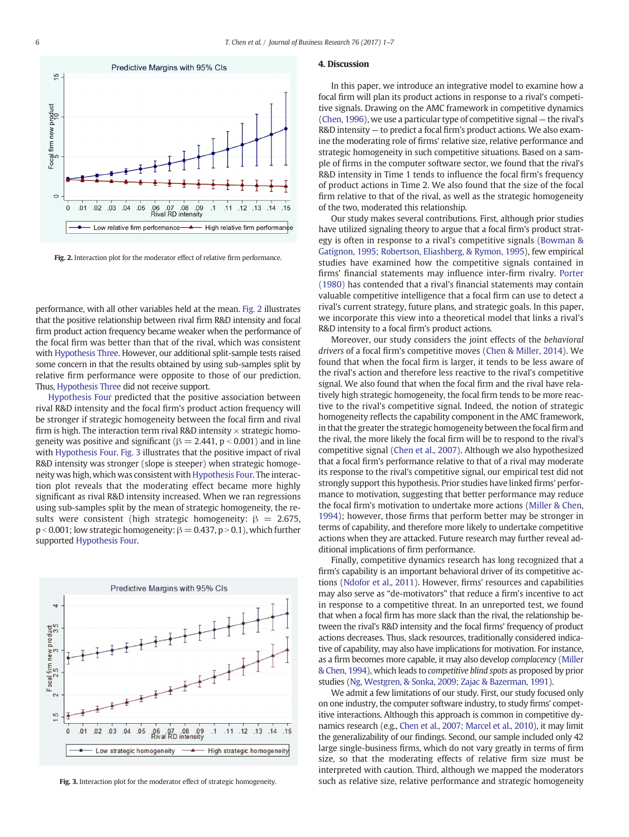

Fig. 2. Interaction plot for the moderator effect of relative firm performance.

performance, with all other variables held at the mean. Fig. 2 illustrates that the positive relationship between rival firm R&D intensity and focal firm product action frequency became weaker when the performance of the focal firm was better than that of the rival, which was consistent with [Hypothesis Three.](#page-2-0) However, our additional split-sample tests raised some concern in that the results obtained by using sub-samples split by relative firm performance were opposite to those of our prediction. Thus, [Hypothesis Three](#page-2-0) did not receive support.

[Hypothesis Four](#page-2-0) predicted that the positive association between rival R&D intensity and the focal firm's product action frequency will be stronger if strategic homogeneity between the focal firm and rival firm is high. The interaction term rival R&D intensity  $\times$  strategic homogeneity was positive and significant ( $\beta = 2.441$ ,  $p < 0.001$ ) and in line with [Hypothesis Four](#page-2-0). Fig. 3 illustrates that the positive impact of rival R&D intensity was stronger (slope is steeper) when strategic homogeneity was high, which was consistent with [Hypothesis Four](#page-2-0). The interaction plot reveals that the moderating effect became more highly significant as rival R&D intensity increased. When we ran regressions using sub-samples split by the mean of strategic homogeneity, the results were consistent (high strategic homogeneity:  $\beta = 2.675$ ,  $p < 0.001$ ; low strategic homogeneity:  $\beta = 0.437$ ,  $p > 0.1$ ), which further supported [Hypothesis Four.](#page-2-0)



Fig. 3. Interaction plot for the moderator effect of strategic homogeneity.

#### 4. Discussion

In this paper, we introduce an integrative model to examine how a focal firm will plan its product actions in response to a rival's competitive signals. Drawing on the AMC framework in competitive dynamics [\(Chen, 1996](#page-6-0)), we use a particular type of competitive signal — the rival's R&D intensity — to predict a focal firm's product actions. We also examine the moderating role of firms' relative size, relative performance and strategic homogeneity in such competitive situations. Based on a sample of firms in the computer software sector, we found that the rival's R&D intensity in Time 1 tends to influence the focal firm's frequency of product actions in Time 2. We also found that the size of the focal firm relative to that of the rival, as well as the strategic homogeneity of the two, moderated this relationship.

Our study makes several contributions. First, although prior studies have utilized signaling theory to argue that a focal firm's product strategy is often in response to a rival's competitive signals [\(Bowman &](#page-6-0) [Gatignon, 1995; Robertson, Eliashberg, & Rymon, 1995\)](#page-6-0), few empirical studies have examined how the competitive signals contained in firms' financial statements may influence inter-firm rivalry. [Porter](#page-6-0) [\(1980\)](#page-6-0) has contended that a rival's financial statements may contain valuable competitive intelligence that a focal firm can use to detect a rival's current strategy, future plans, and strategic goals. In this paper, we incorporate this view into a theoretical model that links a rival's R&D intensity to a focal firm's product actions.

Moreover, our study considers the joint effects of the behavioral drivers of a focal firm's competitive moves ([Chen & Miller, 2014\)](#page-6-0). We found that when the focal firm is larger, it tends to be less aware of the rival's action and therefore less reactive to the rival's competitive signal. We also found that when the focal firm and the rival have relatively high strategic homogeneity, the focal firm tends to be more reactive to the rival's competitive signal. Indeed, the notion of strategic homogeneity reflects the capability component in the AMC framework, in that the greater the strategic homogeneity between the focal firm and the rival, the more likely the focal firm will be to respond to the rival's competitive signal [\(Chen et al., 2007\)](#page-6-0). Although we also hypothesized that a focal firm's performance relative to that of a rival may moderate its response to the rival's competitive signal, our empirical test did not strongly support this hypothesis. Prior studies have linked firms' performance to motivation, suggesting that better performance may reduce the focal firm's motivation to undertake more actions [\(Miller & Chen,](#page-6-0) [1994](#page-6-0)); however, those firms that perform better may be stronger in terms of capability, and therefore more likely to undertake competitive actions when they are attacked. Future research may further reveal additional implications of firm performance.

Finally, competitive dynamics research has long recognized that a firm's capability is an important behavioral driver of its competitive actions [\(Ndofor et al., 2011](#page-6-0)). However, firms' resources and capabilities may also serve as "de-motivators" that reduce a firm's incentive to act in response to a competitive threat. In an unreported test, we found that when a focal firm has more slack than the rival, the relationship between the rival's R&D intensity and the focal firms' frequency of product actions decreases. Thus, slack resources, traditionally considered indicative of capability, may also have implications for motivation. For instance, as a firm becomes more capable, it may also develop complacency [\(Miller](#page-6-0) [& Chen, 1994](#page-6-0)), which leads to competitive blind spots as proposed by prior studies ([Ng, Westgren, & Sonka, 2009; Zajac & Bazerman, 1991\)](#page-6-0).

We admit a few limitations of our study. First, our study focused only on one industry, the computer software industry, to study firms' competitive interactions. Although this approach is common in competitive dynamics research (e.g., [Chen et al., 2007; Marcel et al., 2010\)](#page-6-0), it may limit the generalizability of our findings. Second, our sample included only 42 large single-business firms, which do not vary greatly in terms of firm size, so that the moderating effects of relative firm size must be interpreted with caution. Third, although we mapped the moderators such as relative size, relative performance and strategic homogeneity